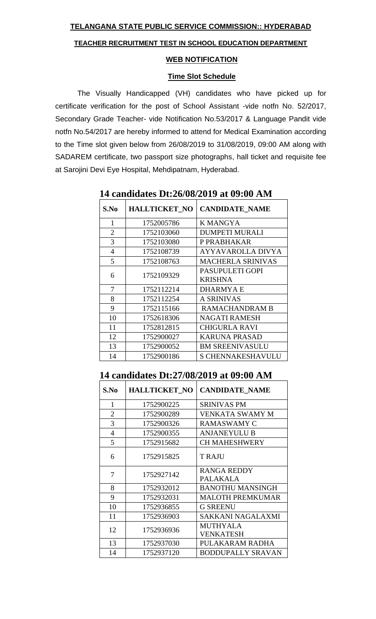### **TELANGANA STATE PUBLIC SERVICE COMMISSION:: HYDERABAD**

### **TEACHER RECRUITMENT TEST IN SCHOOL EDUCATION DEPARTMENT**

### **WEB NOTIFICATION**

### **Time Slot Schedule**

The Visually Handicapped (VH) candidates who have picked up for certificate verification for the post of School Assistant -vide notfn No. 52/2017, Secondary Grade Teacher- vide Notification No.53/2017 & Language Pandit vide notfn No.54/2017 are hereby informed to attend for Medical Examination according to the Time slot given below from 26/08/2019 to 31/08/2019, 09:00 AM along with SADAREM certificate, two passport size photographs, hall ticket and requisite fee at Sarojini Devi Eye Hospital, Mehdipatnam, Hyderabad.

| S.No           | <b>HALLTICKET NO</b> | <b>CANDIDATE NAME</b>    |
|----------------|----------------------|--------------------------|
| 1              | 1752005786           | K MANGYA                 |
| $\overline{2}$ | 1752103060           | <b>DUMPETI MURALI</b>    |
| 3              | 1752103080           | P PRABHAKAR              |
| 4              | 1752108739           | AYYAVAROLLA DIVYA        |
| 5              | 1752108763           | <b>MACHERLA SRINIVAS</b> |
| 6              | 1752109329           | PASUPULETI GOPI          |
|                |                      | <b>KRISHNA</b>           |
| 7              | 1752112214           | <b>DHARMYAE</b>          |
| 8              | 1752112254           | <b>A SRINIVAS</b>        |
| 9              | 1752115166           | <b>RAMACHANDRAM B</b>    |
| 10             | 1752618306           | <b>NAGATI RAMESH</b>     |
| 11             | 1752812815           | <b>CHIGURLA RAVI</b>     |
| 12             | 1752900027           | <b>KARUNA PRASAD</b>     |
| 13             | 1752900052           | <b>BM SREENIVASULU</b>   |
| 14             | 1752900186           | S CHENNAKESHAVULU        |

## **14 candidates Dt:26/08/2019 at 09:00 AM**

### **14 candidates Dt:27/08/2019 at 09:00 AM**

| S.No           | <b>HALLTICKET NO</b> | <b>CANDIDATE_NAME</b>          |
|----------------|----------------------|--------------------------------|
| 1              | 1752900225           | <b>SRINIVAS PM</b>             |
| $\overline{2}$ | 1752900289           | VENKATA SWAMY M                |
| 3              | 1752900326           | RAMASWAMY C                    |
| 4              | 1752900355           | <b>ANJANEYULU B</b>            |
| 5              | 1752915682           | <b>CH MAHESHWERY</b>           |
| 6              | 1752915825           | <b>T RAJU</b>                  |
| 7              | 1752927142           | <b>RANGA REDDY</b><br>PALAKALA |
| 8              | 1752932012           | <b>BANOTHU MANSINGH</b>        |
| 9              | 1752932031           | <b>MALOTH PREMKUMAR</b>        |
| 10             | 1752936855           | <b>G SREENU</b>                |
| 11             | 1752936903           | SAKKANI NAGALAXMI              |
| 12             | 1752936936           | <b>MUTHYALA</b><br>VENKATESH   |
| 13             | 1752937030           | PULAKARAM RADHA                |
| 14             | 1752937120           | <b>BODDUPALLY SRAVAN</b>       |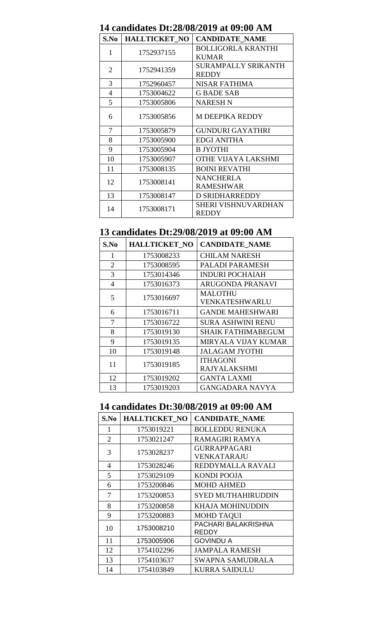**14 candidates Dt:28/08/2019 at 09:00 AM**

| S.No           | <b>HALLTICKET_NO</b> | <b>CANDIDATE NAME</b>                      |
|----------------|----------------------|--------------------------------------------|
| $\mathbf{1}$   | 1752937155           | <b>BOLLIGORLA KRANTHI</b><br><b>KUMAR</b>  |
| $\overline{2}$ | 1752941359           | <b>SURAMPALLY SRIKANTH</b><br><b>REDDY</b> |
| 3              | 1752960457           | <b>NISAR FATHIMA</b>                       |
| $\overline{4}$ | 1753004622           | <b>G BADE SAB</b>                          |
| 5              | 1753005806           | <b>NARESH N</b>                            |
| 6              | 1753005856           | <b>M DEEPIKA REDDY</b>                     |
| 7              | 1753005879           | <b>GUNDURI GAYATHRI</b>                    |
| 8              | 1753005900           | <b>EDGI ANITHA</b>                         |
| 9              | 1753005904           | <b>B JYOTHI</b>                            |
| 10             | 1753005907           | OTHE VIJAYA LAKSHMI                        |
| 11             | 1753008135           | <b>BOINI REVATHI</b>                       |
| 12             | 1753008141           | <b>NANCHERLA</b><br><b>RAMESHWAR</b>       |
| 13             | 1753008147           | <b>D SRIDHARREDDY</b>                      |
| 14             | 1753008171           | SHERI VISHNUVARDHAN<br><b>REDDY</b>        |

# **candidates Dt:29/08/2019 at 09:00 AM**

| S.No           | <b>HALLTICKET NO</b> | <b>CANDIDATE NAME</b>            |
|----------------|----------------------|----------------------------------|
| 1              | 1753008233           | <b>CHILAM NARESH</b>             |
| $\overline{2}$ | 1753008595           | PALADI PARAMESH                  |
| 3              | 1753014346           | <b>INDURI POCHAIAH</b>           |
| 4              | 1753016373           | <b>ARUGONDA PRANAVI</b>          |
| 5              | 1753016697           | <b>MALOTHU</b><br>VENKATESHWARLU |
| 6              | 1753016711           | <b>GANDE MAHESHWARI</b>          |
| 7              | 1753016722           | <b>SURA ASHWINI RENU</b>         |
| 8              | 1753019130           | <b>SHAIK FATHIMABEGUM</b>        |
| 9              | 1753019135           | <b>MIRYALA VIJAY KUMAR</b>       |
| 10             | 1753019148           | <b>JALAGAM JYOTHI</b>            |
| 11             | 1753019185           | ITHAGONI                         |
|                |                      | <b>RAJYALAKSHMI</b>              |
| 12             | 1753019202           | <b>GANTA LAXMI</b>               |
| 13             | 1753019203           | GANGADARA NAVYA                  |

# **14 candidates Dt:30/08/2019 at 09:00 AM**

| S.No | <b>HALLTICKET NO</b> | <b>CANDIDATE_NAME</b>     |
|------|----------------------|---------------------------|
| 1    | 1753019221           | <b>BOLLEDDU RENUKA</b>    |
| 2    | 1753021247           | RAMAGIRI RAMYA            |
| 3    | 1753028237           | <b>GURRAPPAGARI</b>       |
|      |                      | VENKATARAJU               |
| 4    | 1753028246           | REDDYMALLA RAVALI         |
| 5    | 1753029109           | <b>KONDI POOJA</b>        |
| 6    | 1753200846           | <b>MOHD AHMED</b>         |
| 7    | 1753200853           | <b>SYED MUTHAHIRUDDIN</b> |
| 8    | 1753200858           | <b>KHAJA MOHINUDDIN</b>   |
| 9    | 1753200883           | <b>MOHD TAQUI</b>         |
| 10   | 1753008210           | PACHARI BALAKRISHNA       |
|      |                      | <b>REDDY</b>              |
| 11   | 1753005906           | <b>GOVINDU A</b>          |
| 12   | 1754102296           | <b>JAMPALA RAMESH</b>     |
| 13   | 1754103637           | SWAPNA SAMUDRALA          |
| 14   | 1754103849           | <b>KURRA SAIDULU</b>      |